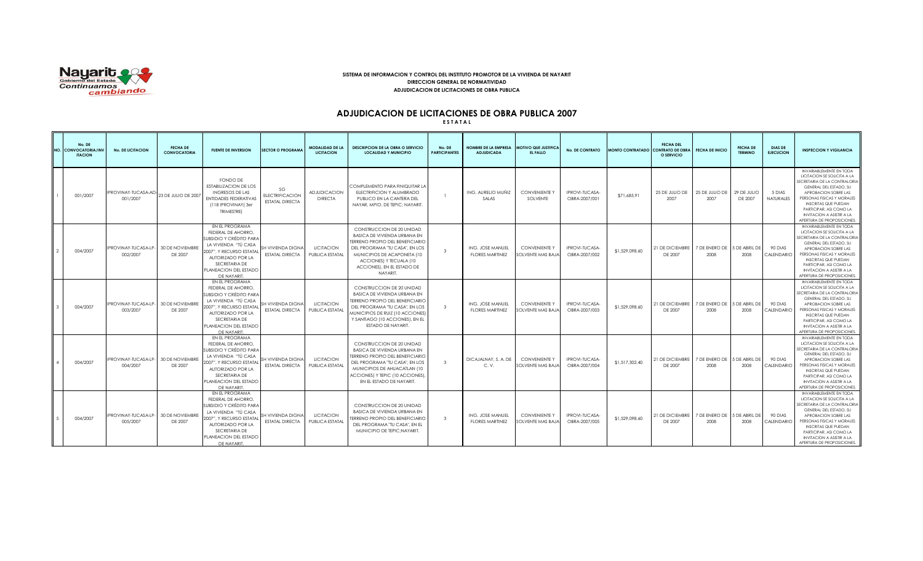

### **SISTEMA DE INFORMACION Y CONTROL DEL INSTITUTO PROMOTOR DE LA VIVIENDA DE NAYARIT DIRECCION GENERAL DE NORMATIVIDAD ADJUDICACION DE LICITACIONES DE OBRA PUBLICA**

## **ADJUDICACION DE LICITACIONES DE OBRA PUBLICA 2007**

**E S T A T A L**

| No. DE<br><b>VO. CONVOCATORIA/INV</b><br><b>ITACION</b> | <b>No. DE LICITACION</b>               | <b>FECHA DE</b><br><b>CONVOCATORIA</b> | <b>FUENTE DE INVERSION</b>                                                                                                                                                                       | <b>SECTOR O PROGRAMA</b>                               | <b>MODALIDAD DE LA</b><br><b>LICITACION</b> | <b>DESCRIPCION DE LA OBRA O SERVICIO</b><br><b>LOCALIDAD Y MUNICIPIO</b>                                                                                                                                                                   | No. DE<br><b>PARTICIPANTES</b> | <b>NOMBRE DE LA EMPRESA</b><br><b>ADJUDICADA</b> | <b>MOTIVO QUE JUSTIFICA</b><br>EL FALLO          | <b>No. DE CONTRATO</b>          | MONTO CONTRATADO CONTRATO DE OBRA | <b>FECHA DEL</b><br>O SERVICIO | <b>FECHA DE INICIO</b>              | <b>FECHA DE</b><br><b>TERMINO</b> | <b>DIAS DE</b><br><b>EJECUCION</b> | <b>INSPECCION Y VIGILANCIA</b>                                                                                                                                                                                                                                                                            |
|---------------------------------------------------------|----------------------------------------|----------------------------------------|--------------------------------------------------------------------------------------------------------------------------------------------------------------------------------------------------|--------------------------------------------------------|---------------------------------------------|--------------------------------------------------------------------------------------------------------------------------------------------------------------------------------------------------------------------------------------------|--------------------------------|--------------------------------------------------|--------------------------------------------------|---------------------------------|-----------------------------------|--------------------------------|-------------------------------------|-----------------------------------|------------------------------------|-----------------------------------------------------------------------------------------------------------------------------------------------------------------------------------------------------------------------------------------------------------------------------------------------------------|
| 001/2007                                                | PROVINAY-TUCASA-AD<br>001/2007         | 23 DE JULIO DE 2007                    | FONDO DE<br><b>ESTABILIZACION DE LOS</b><br><b>INGRESOS DE LAS</b><br>ENTIDADES FEDERATIVAS<br>(118 IPROVINAY (3er<br><b>TRIMESTREI</b>                                                          | SG<br><b>ELECTRIFICACION</b><br><b>ESTATAL DIRECTA</b> | <b>ADJUDICACION</b><br><b>DIRECTA</b>       | COMPLEMENTO PARA FINIQUITAR LA<br>ELECTRIFICION Y ALUMBRADO<br>PUBLICO EN LA CANTERA DEL<br>NAYAR, MPIO. DE TEPIC; NAYARIT.                                                                                                                |                                | ING. AURELIO MUÑIZ<br>SALAS                      | <b>CONVENIENTE Y</b><br>SOLVENTE                 | IPROVI-TUCASA-<br>OBRA-2007/001 | \$71,685.91                       | 25 DE JULIO DE<br>2007         | 25 DE JULIO DE<br>2007              | 29 DE JULIO<br>DE 2007            | 5 DIAS<br><b>NATURALES</b>         | INVARIABLEMENTE EN TODA<br>LICITACION SE SOLICITA A LA<br>SECRETARIA DE LA CONTRALORIA<br>GENERAL DEL ESTADO, SU<br>APROBACION SOBRE LAS<br>PERSONAS FISICAS Y MORALES<br><b>INSCRITAS QUE PUEDAN</b><br>PARTICIPAR, ASI COMO LA<br><b>INVITACION A ASISTIR A LA</b><br>APERTURA DE PROPOSICIONES         |
| 004/2007                                                | <b>IPROVINAY-TUCASA-LP</b><br>002/2007 | 30 DE NOVIEMBRE<br>DE 2007             | EN EL PROGRAMA<br>FEDERAL DE AHORRO.<br>SUBSIDIO Y CRÉDITO PARA<br>LA VIVIENDA "TÚ CASA<br>2007", Y RECURSO ESTATA<br>AUTORIZADO POR LA<br>SECRETARIA DE<br>PLANEACION DEL ESTADO<br>DE NAYARIT  | SH VIVIENDA DIGNA<br><b>ESTATAL DIRECTA</b>            | <b>LICITACION</b><br>PUBLICA ESTATAL        | CONSTRUCCION DE 20 UNIDAD<br>BASICA DE VIVIENDA URBANA EN<br><b>TERRENO PROPIO DEL BENEFICIARIO</b><br>DEL PROGRAMA 'TU CASA'', EN LOS<br>MUNICIPIOS DE ACAPONETA (10<br>ACCIONES) Y TECUALA (10<br>ACCIONES), EN EL ESTADO DE<br>NAYARIT. | $\mathbf{3}$                   | ING. JOSE MANUEL<br><b>FLORES MARTINEZ</b>       | <b>CONVENIENTE Y</b><br>OLVENTE MAS BAJA         | IPROVI-TUCASA-<br>OBRA-2007/002 | \$1,529,098.60                    | 21 DE DICIEMBRE<br>DE 2007     | 7 DE ENERO DE<br>2008               | <b>DE ABRIL DE</b><br>2008        | 90 DIAS<br>CALENDARIO              | <b>INVARIABLEMENTE EN TODA</b><br>LICITACION SE SOLICITA A LA<br>SECRETARIA DE LA CONTRALORIA<br>GENERAL DEL ESTADO, SU<br>APROBACION SOBRE LAS<br>PERSONAS FISICAS Y MORALES<br><b>INSCRITAS QUE PUEDAN</b><br>PARTICIPAR, ASI COMO LA<br><b>INVITACION A ASISTIR A LA</b><br>APERTURA DE PROPOSICIONES  |
| 004/2007                                                | IPROVINAY-TUCASA-LP-<br>003/2007       | 30 DE NOVIEMBRI<br>DE 2007             | EN EL PROGRAMA<br>FEDERAL DE AHORRO.<br>SUBSIDIO Y CRÉDITO PARA<br>LA VIVIENDA "TÚ CASA<br>2007", Y RECURSO ESTATAI<br>AUTORIZADO POR LA<br>SECRETARIA DE<br>PLANEACION DEL ESTADO<br>DE NAYARIT | <b>H VIVIENDA DIGNA</b><br><b>ESTATAL DIRECTA</b>      | <b>LICITACION</b><br>PUBLICA ESTATAL        | CONSTRUCCION DE 20 UNIDAD<br>BASICA DE VIVIENDA URBANA EN<br>TERRENO PROPIO DEL BENEFICIARIO<br>DEL PROGRAMA 'TU CASA'', EN LOS<br>MUNICIPIOS DE RUIZ (10 ACCIONES)<br>Y SANTIAGO (10 ACCIONES), EN EL<br>ESTADO DE NAYARIT.               | $\mathbf{3}$                   | ING. JOSE MANUEL<br><b>FLORES MARTINEZ</b>       | <b>CONVENIENTE Y</b><br><b>OLVENTE MAS BAJA</b>  | IPROVI-TUCASA-<br>OBRA-2007/003 | \$1,529,098.60                    | 21 DE DICIEMBRE<br>DE 2007     | 7 DE ENERO DE 5 DE ABRIL DE<br>2008 | 2008                              | 90 DIAS<br>CALENDARIO              | INVARIABLEMENTE EN TODA<br>LICITACION SE SOLICITA A LA<br>SECRETARIA DE LA CONTRALORIA<br>GENERAL DEL ESTADO, SU<br>APROBACION SOBRE LAS<br>PERSONAS FISICAS Y MORALES<br><b>INSCRITAS QUE PUEDAN</b><br>PARTICIPAR, ASI COMO LA<br><b>INVITACION A ASISTIR A LA</b><br>APERTURA DE PROPOSICIONES         |
| 004/2007                                                | <b>PROVINAY-TUCASA-LP</b><br>004/2007  | 30 DE NOVIEMBRE<br>DE 2007             | EN EL PROGRAMA<br>FEDERAL DE AHORRO.<br>SUBSIDIO Y CRÉDITO PARA<br>LA VIVIENDA "TÚ CASA<br>2007". Y RECURSO ESTATAI<br>AUTORIZADO POR LA<br>SECRETARIA DE<br>PLANEACION DEL ESTADO<br>DE NAYARIT | SH VIVIENDA DIGNA<br><b>ESTATAL DIRECTA</b>            | <b>LICITACION</b><br>PUBLICA ESTATAI        | CONSTRUCCION DE 20 UNIDAD<br>BASICA DE VIVIENDA URBANA EN<br><b>TERRENO PROPIO DEL BENEFICIARIO</b><br>DEL PROGRAMA 'TU CASA'', EN LOS<br>MUNICIPIOS DE AHUACATLAN (10<br>ACCIONES) Y TEPIC (10 ACCIONES),<br>EN EL ESTADO DE NAYARIT.     | $\mathbf{3}$                   | DICAJALNAY, S. A. DE<br>C.V.                     | <b>CONVENIENTE Y</b><br>SOLVENTE MAS BAJA        | IPROVI-TUCASA-<br>OBRA-2007/004 | \$1,517,302.40                    | 21 DE DICIEMBRE<br>DE 2007     | 7 DE ENERO DE<br>2008               | <b>S DE ABRIL DE</b><br>2008      | 90 DIAS<br>CALENDARIO              | <b>INVARIABLEMENTE EN TODA</b><br>LICITACION SE SOLICITA A LA<br>SECRETARIA DE LA CONTRALORIA<br>GENERAL DEL ESTADO, SU<br>APROBACION SOBRE LAS<br>PERSONAS FISICAS Y MORALES<br><b>INSCRITAS QUE PUEDAN</b><br>PARTICIPAR, ASI COMO LA<br><b>INVITACION A ASISTIR A LA</b><br>APERTURA DE PROPOSICIONES  |
| 004/2007                                                | <b>PROVINAY-TUCASA-LP</b><br>005/2007  | 30 DE NOVIEMBRI<br>DE 2007             | EN EL PROGRAMA<br>FEDERAL DE AHORRO.<br>SUBSIDIO Y CRÉDITO PARA<br>LA VIVIENDA "TÚ CASA<br>2007", Y RECURSO ESTATAI<br>AUTORIZADO POR LA<br>SECRETARIA DE<br>PLANEACION DEL ESTADO<br>DE NAYARIT | SH VIVIENDA DIGNA<br><b>ESTATAL DIRECTA</b>            | <b>LICITACION</b><br>PUBLICA ESTATAL        | CONSTRUCCION DE 20 UNIDAD<br>BASICA DE VIVIENDA URBANA EN<br>TERRENO PROPIO DEL BENEFICIARIO<br>DEL PROGRAMA "TU CASA", EN EL<br>MUNICIPIO DE TEPIC; NAYARIT.                                                                              | $\mathbf{3}$                   | ING. JOSE MANUEL<br><b>FLORES MARTINEZ</b>       | <b>CONVENIENTE Y</b><br><b>SOLVENTE MAS BAJA</b> | IPROVI-TUCASA-<br>OBRA-2007/005 | \$1,529,098.60                    | 21 DE DICIEMBRE<br>DE 2007     | 7 DE ENERO DE<br>2008               | <b>S DE ABRIL DE</b><br>2008      | 90 DIAS<br>CALENDARIO              | <b>INVARIABLEMENTE EN TODA</b><br>LICITACION SE SOLICITA A LA<br>SECRETARIA DE LA CONTRALORIA<br>GENERAL DEL ESTADO, SU<br>APROBACION SOBRE LAS<br>PERSONAS FISICAS Y MORALES<br><b>INSCRITAS QUE PUEDAN</b><br>PARTICIPAR, ASI COMO LA<br><b>INVITACION A ASISTIR A LA</b><br>APERTURA DE PROPOSICIONES. |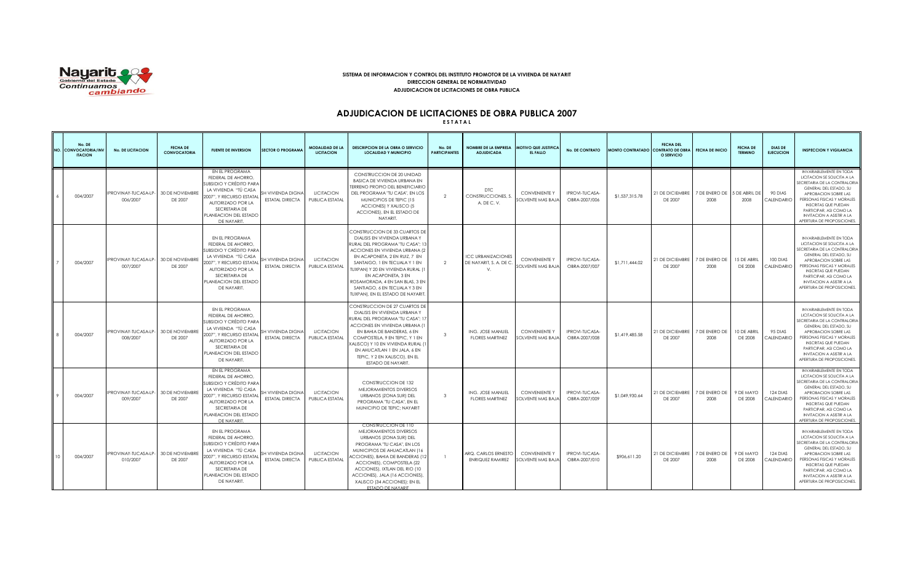

### **SISTEMA DE INFORMACION Y CONTROL DEL INSTITUTO PROMOTOR DE LA VIVIENDA DE NAYARIT DIRECCION GENERAL DE NORMATIVIDAD ADJUDICACION DE LICITACIONES DE OBRA PUBLICA**

## **ADJUDICACION DE LICITACIONES DE OBRA PUBLICA 2007**

**E S T A T A L**

| No. DE<br>IO. CONVOCATORIA/INV<br><b>ITACION</b> | <b>No. DE LICITACION</b>                | <b>FECHA DE</b><br><b>CONVOCATORIA</b> | <b>FUENTE DE INVERSION</b>                                                                                                                                                                        | <b>SECTOR O PROGRAMA</b>                          | MODALIDAD DE LA<br><b>LICITACION</b> | <b>DESCRIPCION DE LA OBRA O SERVICIO</b><br><b>LOCALIDAD Y MUNICIPIO</b>                                                                                                                                                                                                                                                                                                         | No. DE<br><b>PARTICIPANTES</b> | <b>NOMBRE DE LA EMPRESA</b><br><b>ADJUDICADA</b>              | <b>MOTIVO QUE JUSTIFICA</b><br>EL FALLO   | <b>No. DE CONTRATO</b>                | MONTO CONTRATADO CONTRATO DE OBRA | <b>FECHA DEL</b><br>O SERVICIO | <b>FECHA DE INICIO</b> | <b>FECHA DE</b><br><b>TERMINO</b> | <b>DIAS DE</b><br><b>EJECUCION</b> | <b>INSPECCION Y VIGILANCIA</b>                                                                                                                                                                                                                                                                            |
|--------------------------------------------------|-----------------------------------------|----------------------------------------|---------------------------------------------------------------------------------------------------------------------------------------------------------------------------------------------------|---------------------------------------------------|--------------------------------------|----------------------------------------------------------------------------------------------------------------------------------------------------------------------------------------------------------------------------------------------------------------------------------------------------------------------------------------------------------------------------------|--------------------------------|---------------------------------------------------------------|-------------------------------------------|---------------------------------------|-----------------------------------|--------------------------------|------------------------|-----------------------------------|------------------------------------|-----------------------------------------------------------------------------------------------------------------------------------------------------------------------------------------------------------------------------------------------------------------------------------------------------------|
| 004/2007                                         | IPROVINAY-TUCASA-LP-<br>006/2007        | 30 DE NOVIEMBRE<br>DE 2007             | EN EL PROGRAMA<br>FEDERAL DE AHORRO,<br>SUBSIDIO Y CRÉDITO PARA<br>LA VIVIENDA "TÚ CASA<br>2007". Y RECURSO ESTATAL<br>AUTORIZADO POR LA<br>SECRETARIA DE<br>PLANEACION DEL ESTADO<br>DE NAYARIT. | <b>H VIVIENDA DIGNA</b><br><b>ESTATAL DIRECTA</b> | <b>LICITACION</b><br>PUBLICA ESTATAL | CONSTRUCCION DE 20 UNIDAD<br><b>BASICA DE VIVIENDA URBANA EN</b><br><b>TERRENO PROPIO DEL BENEFICIARIO</b><br>DEL PROGRAMA 'TU CASA'', EN LOS<br>MUNICIPIOS DE TEPIC (15<br>ACCIONES) Y XALISCO (5<br>ACCIONES), EN EL ESTADO DE<br>NAYARIT.                                                                                                                                     | $\mathcal{L}$                  | <b>DTC</b><br>CONSTRUCCIONES.<br>A. DE C. V.                  | <b>CONVENIENTE Y</b><br>SOLVENTE MAS BAJA | IPROVI-TUCASA-<br>OBRA-2007/006       | \$1,537,315,78                    | 21 DE DICIEMBRE<br>DE 2007     | 7 DE ENERO DE<br>2008  | <b>DE ABRIL DE</b><br>2008        | 90 DIAS<br>CALENDARIO              | <b>INVARIABLEMENTE EN TODA</b><br>LICITACION SE SOLICITA A LA<br>SECRETARIA DE LA CONTRALORIA<br>GENERAL DEL ESTADO, SU<br>APROBACION SOBRE LAS<br>PERSONAS FISICAS Y MORALES<br><b>INSCRITAS QUE PUEDAN</b><br>PARTICIPAR, ASI COMO LA<br><b>INVITACION A ASISTIR A LA</b><br>APERTURA DE PROPOSICIONES. |
| 004/2007                                         | <b>IPROVINAY-TUCASA-LP-</b><br>007/2007 | <b>30 DE NOVIEMBRE</b><br>DE 2007      | EN EL PROGRAMA<br>FEDERAL DE AHORRO,<br>SUBSIDIO Y CRÉDITO PARA<br>LA VIVIENDA "TÚ CASA<br>2007", Y RECURSO ESTATAL<br>AUTORIZADO POR LA<br>SECRETARIA DE<br>PLANEACION DEL ESTADO<br>DE NAYARIT. | SH VIVIENDA DIGNA<br><b>ESTATAL DIRECTA</b>       | <b>LICITACION</b><br>PUBLICA ESTATAL | CONSTRUCCION DE 33 CUARTOS DE<br>DIALISIS EN VIVIENDA URBANA Y<br>RURAL DEL PROGRAMA "TU CASA"; 13<br><b>ACCIONES EN VIVIENDA URBANA (2</b><br>EN ACAPONETA, 2 EN RUIZ, 7 EN<br>SANTAIGO, 1 EN TECUALA Y 1 EN<br>TUXPAN) Y 20 EN VIVIENDA RURAL (1<br>EN ACAPONETA, 3 EN<br>ROSAMORADA, 4 EN SAN BLAS, 3 EN<br>SANTIAGO, 6 EN TECUALA Y 3 EN<br>TUXPAN). EN EL ESTADO DE NAYARIT | 2                              | <b>ICC URBANIZACIONES</b><br>DE NAYARIT, S. A. DE C<br>$\vee$ | <b>CONVENIENTE Y</b><br>SOLVENTE MAS BAJA | <b>IPROVI-TUCASA</b><br>OBRA-2007/007 | \$1,711,444.02                    | 21 DE DICIEMBRE<br>DE 2007     | 7 DE ENERO DE<br>2008  | 15 DE ABRIL<br>DE 2008            | 100 DIAS<br>CALENDARIO             | INVARIABLEMENTE EN TODA<br>LICITACION SE SOLICITA A LA<br>SECRETARIA DE LA CONTRALORIA<br>GENERAL DEL ESTADO, SU<br>APROBACION SOBRE LAS<br>PERSONAS FISICAS Y MORALES<br><b>INSCRITAS QUE PUEDAN</b><br>PARTICIPAR, ASI COMO LA<br><b>INVITACION A ASISTIR A LA</b><br>APERTURA DE PROPOSICIONES.        |
| 004/2007                                         | PROVINAY-TUCASA-LP-<br>008/2007         | 30 DE NOVIEMBRE<br>DE 2007             | EN EL PROGRAMA<br>FEDERAL DE AHORRO,<br>SUBSIDIO Y CRÉDITO PARA<br>LA VIVIENDA "TÚ CASA<br>2007", Y RECURSO ESTATAL<br>AUTORIZADO POR LA<br>SECRETARIA DE<br>PLANEACION DEL ESTADO<br>DE NAYARIT. | SH VIVIENDA DIGNA<br><b>ESTATAL DIRECTA</b>       | <b>LICITACION</b><br>PUBLICA ESTATAL | CONSTRUCCION DE 27 CUARTOS DE<br>DIALISIS EN VIVIENDA URBANA Y<br>RURAL DEL PROGRAMA "TU CASA"; 17<br>ACCIONES EN VIVIENDA URBANA (1<br>EN BAHIA DE BANDERAS, 6 EN<br>COMPOSTELA, 9 EN TEPIC, Y 1 EN<br>XALISCO) Y 10 EN VIVIENDA RURAL (<br>EN AHUCATLAN 1 EN JALA, 6 EN<br>TEPIC, Y 2 EN XALISCO), EN EL<br>ESTADO DE NAYARIT.                                                 | $\mathbf{R}$                   | ING. JOSE MANUEL<br><b>FLORES MARTINEZ</b>                    | <b>CONVENIENTE Y</b><br>SOLVENTE MAS BAJA | IPROVI-TUCASA-<br>OBRA-2007/008       | \$1,419,485.58                    | 21 DE DICIEMBRE<br>DE 2007     | 7 DE ENERO DE<br>2008  | 10 DE ABRIL<br>DE 2008            | 95 DIAS<br>CALENDARIO              | <b>INVARIABLEMENTE EN TODA</b><br>LICITACION SE SOLICITA A LA<br>SECRETARIA DE LA CONTRALORIA<br>GENERAL DEL ESTADO, SU<br>APROBACION SOBRE LAS<br>PERSONAS FISICAS Y MORALES<br><b>INSCRITAS QUE PUEDAN</b><br>PARTICIPAR, ASI COMO LA<br><b>INVITACION A ASISTIR A LA</b><br>APERTURA DE PROPOSICIONES. |
| 004/2007                                         | IPROVINAY-TUCASA-LP-<br>009/2007        | 30 DE NOVIEMBRE<br>DE 2007             | EN EL PROGRAMA<br>FEDERAL DE AHORRO,<br>SUBSIDIO Y CRÉDITO PARA<br>LA VIVIENDA "TÚ CASA<br>2007", Y RECURSO ESTATAL<br>AUTORIZADO POR LA<br>SECRETARIA DE<br>PLANEACION DEL ESTADO<br>DE NAYARIT  | SH VIVIENDA DIGNA<br><b>ESTATAL DIRECTA</b>       | <b>LICITACION</b><br>PUBLICA ESTATAL | CONSTRUCCION DE 132<br>MEJORAMIENTOS DIVERSOS<br>URBANOS (ZONA SUR) DEL<br>PROGRAMA "TU CASA", EN EL<br>MUNICIPIO DE TEPIC; NAYARIT                                                                                                                                                                                                                                              | $\mathbf{3}$                   | ING. JOSE MANUEL<br><b>FLORES MARTINEZ</b>                    | <b>CONVENIENTE Y</b><br>SOLVENTE MAS BAJA | IPROVI-TUCASA-<br>OBRA-2007/009       | \$1,049,930.64                    | 21 DE DICIEMBRE<br>DE 2007     | 7 DE ENERO DE<br>2008  | 9 DE MAYO<br>DE 2008              | 124 DIAS<br>CALENDARIO             | <b>INVARIABLEMENTE EN TODA</b><br>LICITACION SE SOLICITA A LA<br>SECRETARIA DE LA CONTRALORIA<br>GENERAL DEL ESTADO, SU<br>APROBACION SOBRE LAS<br>PERSONAS FISICAS Y MORALES<br><b>INSCRITAS QUE PUEDAN</b><br>PARTICIPAR, ASI COMO LA<br><b>INVITACION A ASISTIR A LA</b><br>APERTURA DE PROPOSICIONES. |
| 004/2007                                         | IPROVINAY-TUCASA-LP-<br>010/2007        | 30 DE NOVIEMBRE<br>DE 2007             | EN EL PROGRAMA<br>FEDERAL DE AHORRO,<br>SUBSIDIO Y CRÉDITO PARA<br>LA VIVIENDA "TÚ CASA<br>2007", Y RECURSO ESTATA<br>AUTORIZADO POR LA<br>SECRETARIA DE<br>PLANEACION DEL ESTADO<br>DE NAYARIT.  | SH VIVIENDA DIGNA<br><b>ESTATAL DIRECTA</b>       | <b>LICITACION</b><br>PUBLICA ESTATAL | CONSTRUCCION DE 110<br>MEJORAMIENTOS DIVERSOS<br>URBANOS (ZONA SUR) DEL<br>PROGRAMA 'TU CASA'', EN LOS<br>MUNICIPIOS DE AHUACATLAN (16<br>ACCIONES), BAHIA DE BANDERAS (12<br>ACCIONES), COMPOSTELA (22<br>ACCIONES), IXTLAN DEL RIO (10<br>ACCIONES), JALA (16 ACCIONES),<br>XALISCO (34 ACCIONES); EN EL<br>ESTADO DE NAYARIT                                                  |                                | ARQ. CARLOS ERNESTO<br><b>ENRIQUEZ RAMIREZ</b>                | <b>CONVENIENTE Y</b><br>SOLVENTE MAS BAJA | IPROVI-TUCASA-<br>OBRA-2007/010       | \$906.611.20                      | 21 DE DICIEMBRE<br>DE 2007     | 7 DE ENERO DE<br>2008  | 9 DE MAYO<br>DE 2008              | 124 DIAS<br>CALENDARIO             | INVARIABLEMENTE EN TODA<br>LICITACION SE SOLICITA A LA<br>SECRETARIA DE LA CONTRALORIA<br>GENERAL DEL ESTADO, SU<br>APROBACION SOBRE LAS<br>PERSONAS FISICAS Y MORALES<br><b>INSCRITAS QUE PUEDAN</b><br>PARTICIPAR, ASI COMO LA<br><b>INVITACION A ASISTIR A LA</b><br>APERTURA DE PROPOSICIONES.        |